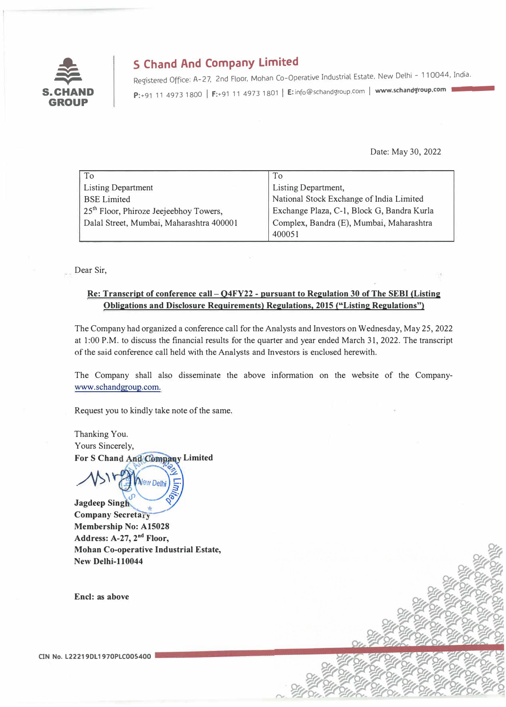

# **S Chand And Company Limited**

Registered Office: A-27, 2nd Floor, Mohan Co-Operative Industrial Estate, New Delhi - 110044, India. P:+91 11 4973 1800 | F:+91 11 4973 1801 | E: info@schandgroup.com | www.schandgroup.com |

Date: May 30, 2022

| To                                       | To                                         |
|------------------------------------------|--------------------------------------------|
| <b>Listing Department</b>                | Listing Department,                        |
| <b>BSE</b> Limited                       | National Stock Exchange of India Limited   |
| $25th$ Floor, Phiroze Jeejeebhoy Towers, | Exchange Plaza, C-1, Block G, Bandra Kurla |
| Dalal Street, Mumbai, Maharashtra 400001 | Complex, Bandra (E), Mumbai, Maharashtra   |
|                                          | 400051                                     |

Dear Sir,

#### Re: Transcript of conference call - Q4FY22 - pursuant to Regulation 30 of The SEBI (Listing **Obligations and Disclosure Requirements) Regulations, 2015 ("Listing Regulations")**

The Company had organized a conference call for the Analysts and Investors on Wednesday, May 25, 2022 at 1:00 P.M. to discuss the financial results for the quarter and year ended March 31, 2022. The transcript of the said conference call held with the Analysts and Investors is enclosed herewith.

The Company shall also disseminate the above information on the website of the Companywww.schandgroup.com.

Request you to kindly take note of the same.

Thanking You. Yours Sincerely, For S Chand And Company Limited

 $\frac{1}{2}$ **Jagdeep Singh Company Secretary Membership No: A15028 Address: A-27, 2 nd Floor, Mohan Co-operative Industrial Estate, New Delhi-110044** 

**New Delh** 

**Encl: as above** 

CIN No. L22219DL1970PLC005400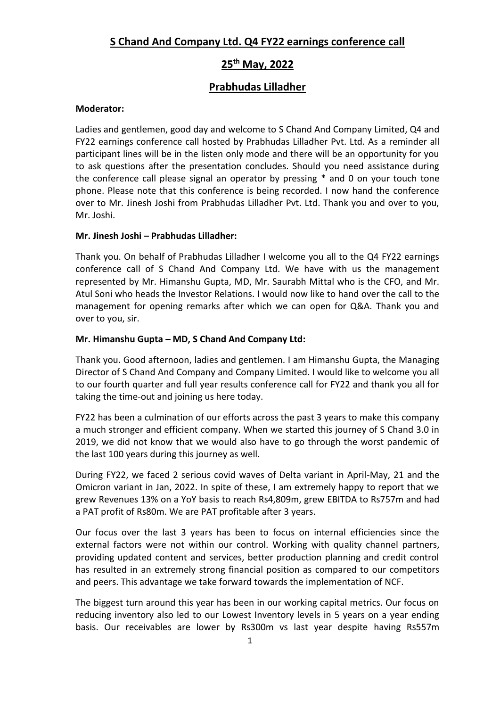# **S Chand And Company Ltd. Q4 FY22 earnings conference call**

# **25th May, 2022**

# **Prabhudas Lilladher**

### **Moderator:**

Ladies and gentlemen, good day and welcome to S Chand And Company Limited, Q4 and FY22 earnings conference call hosted by Prabhudas Lilladher Pvt. Ltd. As a reminder all participant lines will be in the listen only mode and there will be an opportunity for you to ask questions after the presentation concludes. Should you need assistance during the conference call please signal an operator by pressing \* and 0 on your touch tone phone. Please note that this conference is being recorded. I now hand the conference over to Mr. Jinesh Joshi from Prabhudas Lilladher Pvt. Ltd. Thank you and over to you, Mr. Joshi.

# **Mr. Jinesh Joshi – Prabhudas Lilladher:**

Thank you. On behalf of Prabhudas Lilladher I welcome you all to the Q4 FY22 earnings conference call of S Chand And Company Ltd. We have with us the management represented by Mr. Himanshu Gupta, MD, Mr. Saurabh Mittal who is the CFO, and Mr. Atul Soni who heads the Investor Relations. I would now like to hand over the call to the management for opening remarks after which we can open for Q&A. Thank you and over to you, sir.

# **Mr. Himanshu Gupta – MD, S Chand And Company Ltd:**

Thank you. Good afternoon, ladies and gentlemen. I am Himanshu Gupta, the Managing Director of S Chand And Company and Company Limited. I would like to welcome you all to our fourth quarter and full year results conference call for FY22 and thank you all for taking the time-out and joining us here today.

FY22 has been a culmination of our efforts across the past 3 years to make this company a much stronger and efficient company. When we started this journey of S Chand 3.0 in 2019, we did not know that we would also have to go through the worst pandemic of the last 100 years during this journey as well.

During FY22, we faced 2 serious covid waves of Delta variant in April-May, 21 and the Omicron variant in Jan, 2022. In spite of these, I am extremely happy to report that we grew Revenues 13% on a YoY basis to reach Rs4,809m, grew EBITDA to Rs757m and had a PAT profit of Rs80m. We are PAT profitable after 3 years.

Our focus over the last 3 years has been to focus on internal efficiencies since the external factors were not within our control. Working with quality channel partners, providing updated content and services, better production planning and credit control has resulted in an extremely strong financial position as compared to our competitors and peers. This advantage we take forward towards the implementation of NCF.

The biggest turn around this year has been in our working capital metrics. Our focus on reducing inventory also led to our Lowest Inventory levels in 5 years on a year ending basis. Our receivables are lower by Rs300m vs last year despite having Rs557m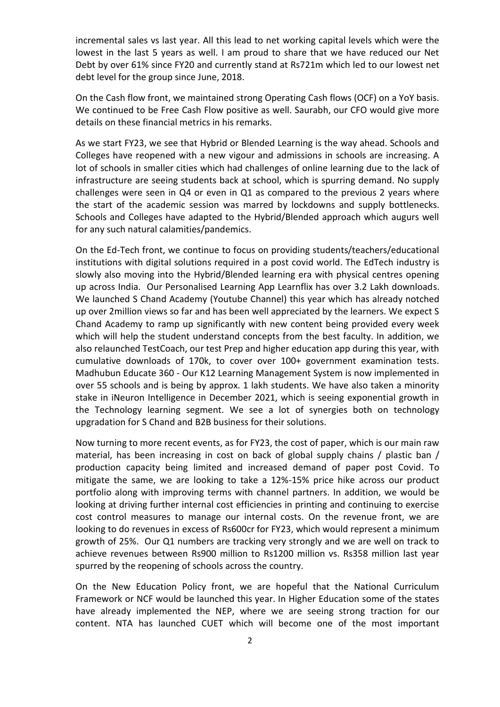incremental sales vs last year. All this lead to net working capital levels which were the lowest in the last 5 years as well. I am proud to share that we have reduced our Net Debt by over 61% since FY20 and currently stand at Rs721m which led to our lowest net debt level for the group since June, 2018.

On the Cash flow front, we maintained strong Operating Cash flows (OCF) on a YoY basis. We continued to be Free Cash Flow positive as well. Saurabh, our CFO would give more details on these financial metrics in his remarks.

As we start FY23, we see that Hybrid or Blended Learning is the way ahead. Schools and Colleges have reopened with a new vigour and admissions in schools are increasing. A lot of schools in smaller cities which had challenges of online learning due to the lack of infrastructure are seeing students back at school, which is spurring demand. No supply challenges were seen in Q4 or even in Q1 as compared to the previous 2 years where the start of the academic session was marred by lockdowns and supply bottlenecks. Schools and Colleges have adapted to the Hybrid/Blended approach which augurs well for any such natural calamities/pandemics.

On the Ed-Tech front, we continue to focus on providing students/teachers/educational institutions with digital solutions required in a post covid world. The EdTech industry is slowly also moving into the Hybrid/Blended learning era with physical centres opening up across India. Our Personalised Learning App Learnflix has over 3.2 Lakh downloads. We launched S Chand Academy (Youtube Channel) this year which has already notched up over 2million views so far and has been well appreciated by the learners. We expect S Chand Academy to ramp up significantly with new content being provided every week which will help the student understand concepts from the best faculty. In addition, we also relaunched TestCoach, our test Prep and higher education app during this year, with cumulative downloads of 170k, to cover over 100+ government examination tests. Madhubun Educate 360 - Our K12 Learning Management System is now implemented in over 55 schools and is being by approx. 1 lakh students. We have also taken a minority stake in iNeuron Intelligence in December 2021, which is seeing exponential growth in the Technology learning segment. We see a lot of synergies both on technology upgradation for S Chand and B2B business for their solutions.

Now turning to more recent events, as for FY23, the cost of paper, which is our main raw material, has been increasing in cost on back of global supply chains / plastic ban / production capacity being limited and increased demand of paper post Covid. To mitigate the same, we are looking to take a 12%-15% price hike across our product portfolio along with improving terms with channel partners. In addition, we would be looking at driving further internal cost efficiencies in printing and continuing to exercise cost control measures to manage our internal costs. On the revenue front, we are looking to do revenues in excess of Rs600cr for FY23, which would represent a minimum growth of 25%. Our Q1 numbers are tracking very strongly and we are well on track to achieve revenues between Rs900 million to Rs1200 million vs. Rs358 million last year spurred by the reopening of schools across the country.

On the New Education Policy front, we are hopeful that the National Curriculum Framework or NCF would be launched this year. In Higher Education some of the states have already implemented the NEP, where we are seeing strong traction for our content. NTA has launched CUET which will become one of the most important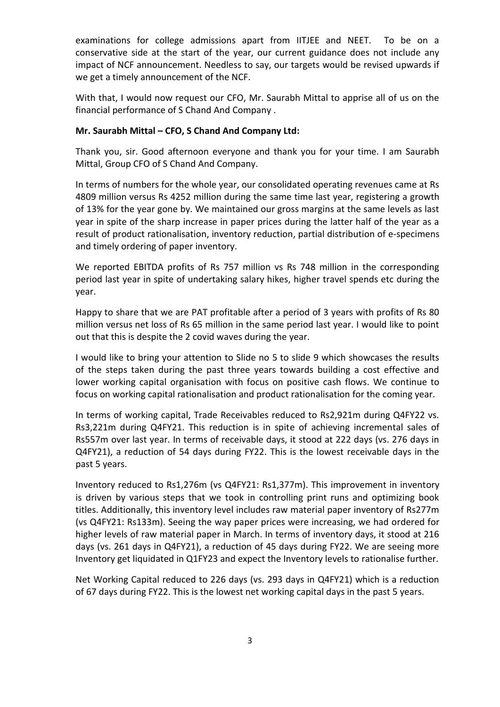examinations for college admissions apart from IITJEE and NEET. To be on a conservative side at the start of the year, our current guidance does not include any impact of NCF announcement. Needless to say, our targets would be revised upwards if we get a timely announcement of the NCF.

With that, I would now request our CFO, Mr. Saurabh Mittal to apprise all of us on the financial performance of S Chand And Company .

#### **Mr. Saurabh Mittal – CFO, S Chand And Company Ltd:**

Thank you, sir. Good afternoon everyone and thank you for your time. I am Saurabh Mittal, Group CFO of S Chand And Company.

In terms of numbers for the whole year, our consolidated operating revenues came at Rs 4809 million versus Rs 4252 million during the same time last year, registering a growth of 13% for the year gone by. We maintained our gross margins at the same levels as last year in spite of the sharp increase in paper prices during the latter half of the year as a result of product rationalisation, inventory reduction, partial distribution of e-specimens and timely ordering of paper inventory.

We reported EBITDA profits of Rs 757 million vs Rs 748 million in the corresponding period last year in spite of undertaking salary hikes, higher travel spends etc during the year.

Happy to share that we are PAT profitable after a period of 3 years with profits of Rs 80 million versus net loss of Rs 65 million in the same period last year. I would like to point out that this is despite the 2 covid waves during the year.

I would like to bring your attention to Slide no 5 to slide 9 which showcases the results of the steps taken during the past three years towards building a cost effective and lower working capital organisation with focus on positive cash flows. We continue to focus on working capital rationalisation and product rationalisation for the coming year.

In terms of working capital, Trade Receivables reduced to Rs2,921m during Q4FY22 vs. Rs3,221m during Q4FY21. This reduction is in spite of achieving incremental sales of Rs557m over last year. In terms of receivable days, it stood at 222 days (vs. 276 days in Q4FY21), a reduction of 54 days during FY22. This is the lowest receivable days in the past 5 years.

Inventory reduced to Rs1,276m (vs Q4FY21: Rs1,377m). This improvement in inventory is driven by various steps that we took in controlling print runs and optimizing book titles. Additionally, this inventory level includes raw material paper inventory of Rs277m (vs Q4FY21: Rs133m). Seeing the way paper prices were increasing, we had ordered for higher levels of raw material paper in March. In terms of inventory days, it stood at 216 days (vs. 261 days in Q4FY21), a reduction of 45 days during FY22. We are seeing more Inventory get liquidated in Q1FY23 and expect the Inventory levels to rationalise further.

Net Working Capital reduced to 226 days (vs. 293 days in Q4FY21) which is a reduction of 67 days during FY22. This is the lowest net working capital days in the past 5 years.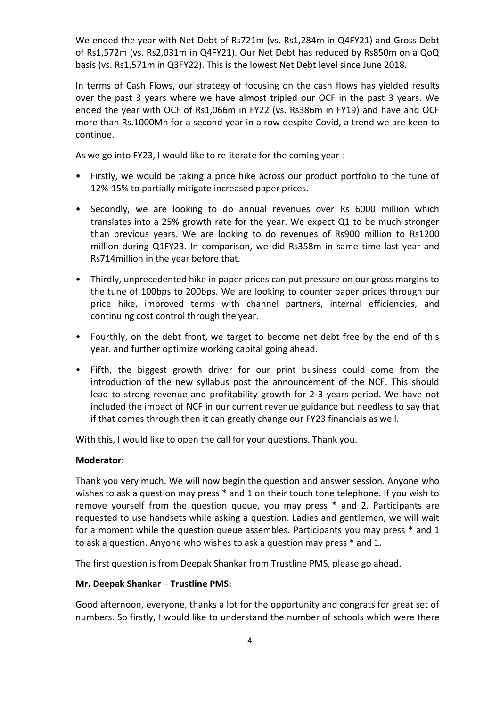We ended the year with Net Debt of Rs721m (vs. Rs1,284m in Q4FY21) and Gross Debt of Rs1,572m (vs. Rs2,031m in Q4FY21). Our Net Debt has reduced by Rs850m on a QoQ basis (vs. Rs1,571m in Q3FY22). This is the lowest Net Debt level since June 2018.

In terms of Cash Flows, our strategy of focusing on the cash flows has yielded results over the past 3 years where we have almost tripled our OCF in the past 3 years. We ended the year with OCF of Rs1,066m in FY22 (vs. Rs386m in FY19) and have and OCF more than Rs.1000Mn for a second year in a row despite Covid, a trend we are keen to continue.

As we go into FY23, I would like to re-iterate for the coming year-:

- Firstly, we would be taking a price hike across our product portfolio to the tune of 12%-15% to partially mitigate increased paper prices.
- Secondly, we are looking to do annual revenues over Rs 6000 million which translates into a 25% growth rate for the year. We expect Q1 to be much stronger than previous years. We are looking to do revenues of Rs900 million to Rs1200 million during Q1FY23. In comparison, we did Rs358m in same time last year and Rs714million in the year before that.
- Thirdly, unprecedented hike in paper prices can put pressure on our gross margins to the tune of 100bps to 200bps. We are looking to counter paper prices through our price hike, improved terms with channel partners, internal efficiencies, and continuing cost control through the year.
- Fourthly, on the debt front, we target to become net debt free by the end of this year. and further optimize working capital going ahead.
- Fifth, the biggest growth driver for our print business could come from the introduction of the new syllabus post the announcement of the NCF. This should lead to strong revenue and profitability growth for 2-3 years period. We have not included the impact of NCF in our current revenue guidance but needless to say that if that comes through then it can greatly change our FY23 financials as well.

With this, I would like to open the call for your questions. Thank you.

#### **Moderator:**

Thank you very much. We will now begin the question and answer session. Anyone who wishes to ask a question may press \* and 1 on their touch tone telephone. If you wish to remove yourself from the question queue, you may press \* and 2. Participants are requested to use handsets while asking a question. Ladies and gentlemen, we will wait for a moment while the question queue assembles. Participants you may press \* and 1 to ask a question. Anyone who wishes to ask a question may press \* and 1.

The first question is from Deepak Shankar from Trustline PMS, please go ahead.

#### **Mr. Deepak Shankar – Trustline PMS:**

Good afternoon, everyone, thanks a lot for the opportunity and congrats for great set of numbers. So firstly, I would like to understand the number of schools which were there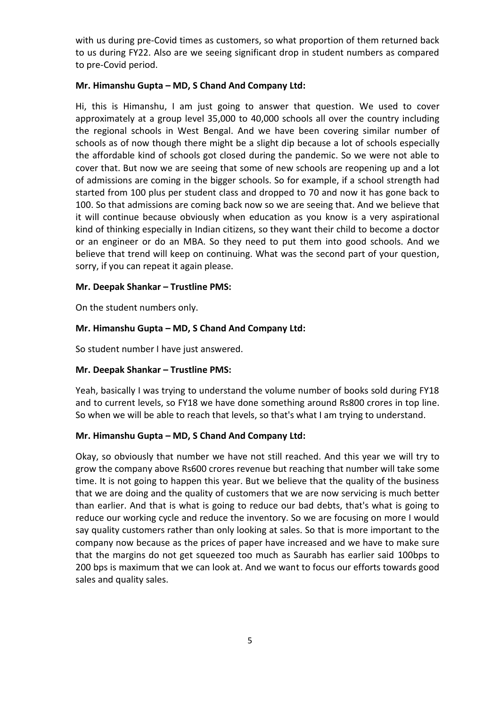with us during pre-Covid times as customers, so what proportion of them returned back to us during FY22. Also are we seeing significant drop in student numbers as compared to pre-Covid period.

#### **Mr. Himanshu Gupta – MD, S Chand And Company Ltd:**

Hi, this is Himanshu, I am just going to answer that question. We used to cover approximately at a group level 35,000 to 40,000 schools all over the country including the regional schools in West Bengal. And we have been covering similar number of schools as of now though there might be a slight dip because a lot of schools especially the affordable kind of schools got closed during the pandemic. So we were not able to cover that. But now we are seeing that some of new schools are reopening up and a lot of admissions are coming in the bigger schools. So for example, if a school strength had started from 100 plus per student class and dropped to 70 and now it has gone back to 100. So that admissions are coming back now so we are seeing that. And we believe that it will continue because obviously when education as you know is a very aspirational kind of thinking especially in Indian citizens, so they want their child to become a doctor or an engineer or do an MBA. So they need to put them into good schools. And we believe that trend will keep on continuing. What was the second part of your question, sorry, if you can repeat it again please.

#### **Mr. Deepak Shankar – Trustline PMS:**

On the student numbers only.

#### **Mr. Himanshu Gupta – MD, S Chand And Company Ltd:**

So student number I have just answered.

#### **Mr. Deepak Shankar – Trustline PMS:**

Yeah, basically I was trying to understand the volume number of books sold during FY18 and to current levels, so FY18 we have done something around Rs800 crores in top line. So when we will be able to reach that levels, so that's what I am trying to understand.

#### **Mr. Himanshu Gupta – MD, S Chand And Company Ltd:**

Okay, so obviously that number we have not still reached. And this year we will try to grow the company above Rs600 crores revenue but reaching that number will take some time. It is not going to happen this year. But we believe that the quality of the business that we are doing and the quality of customers that we are now servicing is much better than earlier. And that is what is going to reduce our bad debts, that's what is going to reduce our working cycle and reduce the inventory. So we are focusing on more I would say quality customers rather than only looking at sales. So that is more important to the company now because as the prices of paper have increased and we have to make sure that the margins do not get squeezed too much as Saurabh has earlier said 100bps to 200 bps is maximum that we can look at. And we want to focus our efforts towards good sales and quality sales.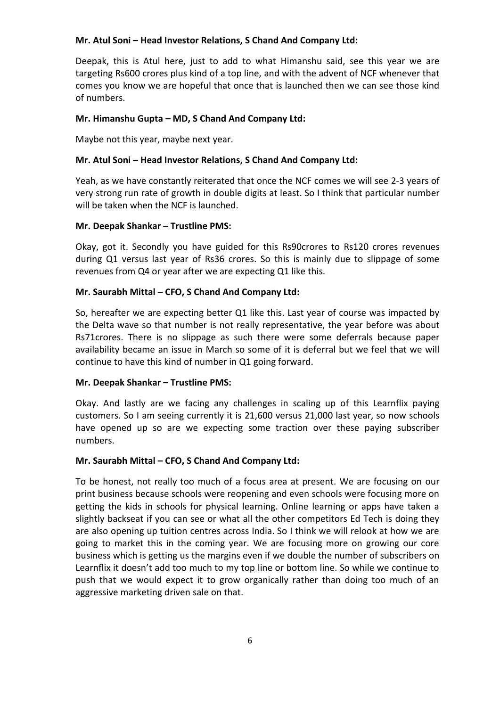#### **Mr. Atul Soni – Head Investor Relations, S Chand And Company Ltd:**

Deepak, this is Atul here, just to add to what Himanshu said, see this year we are targeting Rs600 crores plus kind of a top line, and with the advent of NCF whenever that comes you know we are hopeful that once that is launched then we can see those kind of numbers.

# **Mr. Himanshu Gupta – MD, S Chand And Company Ltd:**

Maybe not this year, maybe next year.

# **Mr. Atul Soni – Head Investor Relations, S Chand And Company Ltd:**

Yeah, as we have constantly reiterated that once the NCF comes we will see 2-3 years of very strong run rate of growth in double digits at least. So I think that particular number will be taken when the NCF is launched.

# **Mr. Deepak Shankar – Trustline PMS:**

Okay, got it. Secondly you have guided for this Rs90crores to Rs120 crores revenues during Q1 versus last year of Rs36 crores. So this is mainly due to slippage of some revenues from Q4 or year after we are expecting Q1 like this.

# **Mr. Saurabh Mittal – CFO, S Chand And Company Ltd:**

So, hereafter we are expecting better Q1 like this. Last year of course was impacted by the Delta wave so that number is not really representative, the year before was about Rs71crores. There is no slippage as such there were some deferrals because paper availability became an issue in March so some of it is deferral but we feel that we will continue to have this kind of number in Q1 going forward.

#### **Mr. Deepak Shankar – Trustline PMS:**

Okay. And lastly are we facing any challenges in scaling up of this Learnflix paying customers. So I am seeing currently it is 21,600 versus 21,000 last year, so now schools have opened up so are we expecting some traction over these paying subscriber numbers.

#### **Mr. Saurabh Mittal – CFO, S Chand And Company Ltd:**

To be honest, not really too much of a focus area at present. We are focusing on our print business because schools were reopening and even schools were focusing more on getting the kids in schools for physical learning. Online learning or apps have taken a slightly backseat if you can see or what all the other competitors Ed Tech is doing they are also opening up tuition centres across India. So I think we will relook at how we are going to market this in the coming year. We are focusing more on growing our core business which is getting us the margins even if we double the number of subscribers on Learnflix it doesn't add too much to my top line or bottom line. So while we continue to push that we would expect it to grow organically rather than doing too much of an aggressive marketing driven sale on that.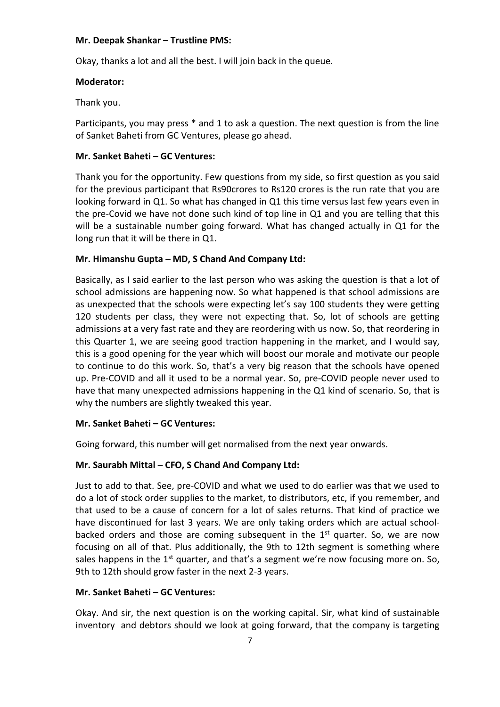#### **Mr. Deepak Shankar – Trustline PMS:**

Okay, thanks a lot and all the best. I will join back in the queue.

#### **Moderator:**

Thank you.

Participants, you may press \* and 1 to ask a question. The next question is from the line of Sanket Baheti from GC Ventures, please go ahead.

#### **Mr. Sanket Baheti – GC Ventures:**

Thank you for the opportunity. Few questions from my side, so first question as you said for the previous participant that Rs90crores to Rs120 crores is the run rate that you are looking forward in Q1. So what has changed in Q1 this time versus last few years even in the pre-Covid we have not done such kind of top line in Q1 and you are telling that this will be a sustainable number going forward. What has changed actually in Q1 for the long run that it will be there in Q1.

#### **Mr. Himanshu Gupta – MD, S Chand And Company Ltd:**

Basically, as I said earlier to the last person who was asking the question is that a lot of school admissions are happening now. So what happened is that school admissions are as unexpected that the schools were expecting let's say 100 students they were getting 120 students per class, they were not expecting that. So, lot of schools are getting admissions at a very fast rate and they are reordering with us now. So, that reordering in this Quarter 1, we are seeing good traction happening in the market, and I would say, this is a good opening for the year which will boost our morale and motivate our people to continue to do this work. So, that's a very big reason that the schools have opened up. Pre-COVID and all it used to be a normal year. So, pre-COVID people never used to have that many unexpected admissions happening in the Q1 kind of scenario. So, that is why the numbers are slightly tweaked this year.

#### **Mr. Sanket Baheti – GC Ventures:**

Going forward, this number will get normalised from the next year onwards.

#### **Mr. Saurabh Mittal – CFO, S Chand And Company Ltd:**

Just to add to that. See, pre-COVID and what we used to do earlier was that we used to do a lot of stock order supplies to the market, to distributors, etc, if you remember, and that used to be a cause of concern for a lot of sales returns. That kind of practice we have discontinued for last 3 years. We are only taking orders which are actual schoolbacked orders and those are coming subsequent in the  $1<sup>st</sup>$  quarter. So, we are now focusing on all of that. Plus additionally, the 9th to 12th segment is something where sales happens in the  $1<sup>st</sup>$  quarter, and that's a segment we're now focusing more on. So, 9th to 12th should grow faster in the next 2-3 years.

#### **Mr. Sanket Baheti – GC Ventures:**

Okay. And sir, the next question is on the working capital. Sir, what kind of sustainable inventory and debtors should we look at going forward, that the company is targeting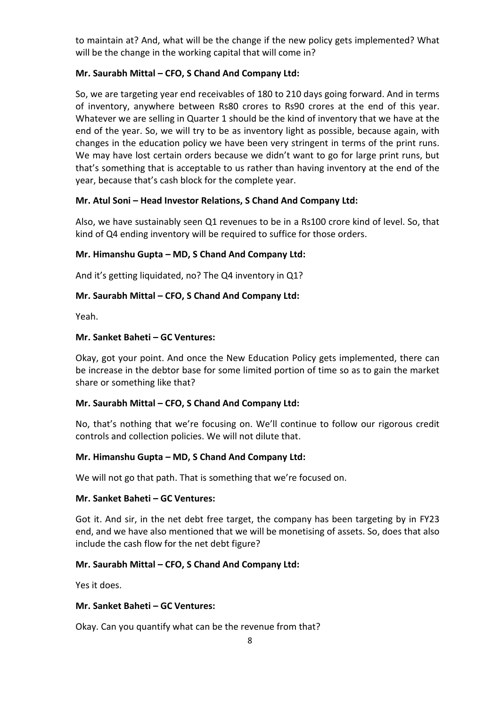to maintain at? And, what will be the change if the new policy gets implemented? What will be the change in the working capital that will come in?

# **Mr. Saurabh Mittal – CFO, S Chand And Company Ltd:**

So, we are targeting year end receivables of 180 to 210 days going forward. And in terms of inventory, anywhere between Rs80 crores to Rs90 crores at the end of this year. Whatever we are selling in Quarter 1 should be the kind of inventory that we have at the end of the year. So, we will try to be as inventory light as possible, because again, with changes in the education policy we have been very stringent in terms of the print runs. We may have lost certain orders because we didn't want to go for large print runs, but that's something that is acceptable to us rather than having inventory at the end of the year, because that's cash block for the complete year.

# **Mr. Atul Soni – Head Investor Relations, S Chand And Company Ltd:**

Also, we have sustainably seen Q1 revenues to be in a Rs100 crore kind of level. So, that kind of Q4 ending inventory will be required to suffice for those orders.

#### **Mr. Himanshu Gupta – MD, S Chand And Company Ltd:**

And it's getting liquidated, no? The Q4 inventory in Q1?

# **Mr. Saurabh Mittal – CFO, S Chand And Company Ltd:**

Yeah.

#### **Mr. Sanket Baheti – GC Ventures:**

Okay, got your point. And once the New Education Policy gets implemented, there can be increase in the debtor base for some limited portion of time so as to gain the market share or something like that?

#### **Mr. Saurabh Mittal – CFO, S Chand And Company Ltd:**

No, that's nothing that we're focusing on. We'll continue to follow our rigorous credit controls and collection policies. We will not dilute that.

#### **Mr. Himanshu Gupta – MD, S Chand And Company Ltd:**

We will not go that path. That is something that we're focused on.

#### **Mr. Sanket Baheti – GC Ventures:**

Got it. And sir, in the net debt free target, the company has been targeting by in FY23 end, and we have also mentioned that we will be monetising of assets. So, does that also include the cash flow for the net debt figure?

#### **Mr. Saurabh Mittal – CFO, S Chand And Company Ltd:**

Yes it does.

#### **Mr. Sanket Baheti – GC Ventures:**

Okay. Can you quantify what can be the revenue from that?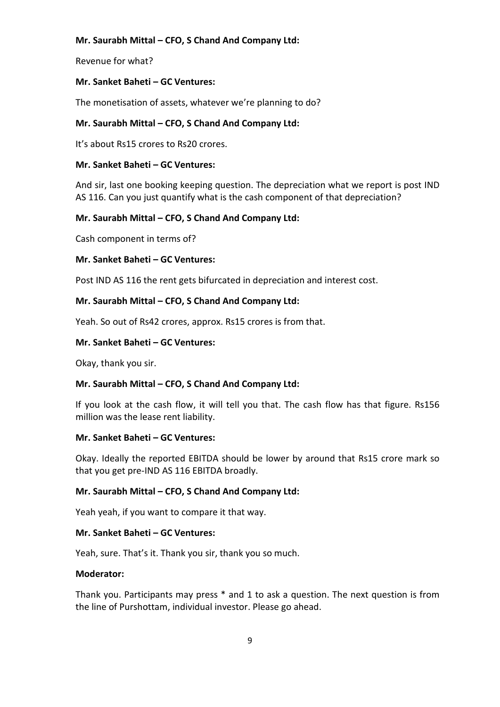Revenue for what?

# **Mr. Sanket Baheti – GC Ventures:**

The monetisation of assets, whatever we're planning to do?

# **Mr. Saurabh Mittal – CFO, S Chand And Company Ltd:**

It's about Rs15 crores to Rs20 crores.

#### **Mr. Sanket Baheti – GC Ventures:**

And sir, last one booking keeping question. The depreciation what we report is post IND AS 116. Can you just quantify what is the cash component of that depreciation?

# **Mr. Saurabh Mittal – CFO, S Chand And Company Ltd:**

Cash component in terms of?

#### **Mr. Sanket Baheti – GC Ventures:**

Post IND AS 116 the rent gets bifurcated in depreciation and interest cost.

#### **Mr. Saurabh Mittal – CFO, S Chand And Company Ltd:**

Yeah. So out of Rs42 crores, approx. Rs15 crores is from that.

#### **Mr. Sanket Baheti – GC Ventures:**

Okay, thank you sir.

#### **Mr. Saurabh Mittal – CFO, S Chand And Company Ltd:**

If you look at the cash flow, it will tell you that. The cash flow has that figure. Rs156 million was the lease rent liability.

#### **Mr. Sanket Baheti – GC Ventures:**

Okay. Ideally the reported EBITDA should be lower by around that Rs15 crore mark so that you get pre-IND AS 116 EBITDA broadly.

#### **Mr. Saurabh Mittal – CFO, S Chand And Company Ltd:**

Yeah yeah, if you want to compare it that way.

#### **Mr. Sanket Baheti – GC Ventures:**

Yeah, sure. That's it. Thank you sir, thank you so much.

#### **Moderator:**

Thank you. Participants may press \* and 1 to ask a question. The next question is from the line of Purshottam, individual investor. Please go ahead.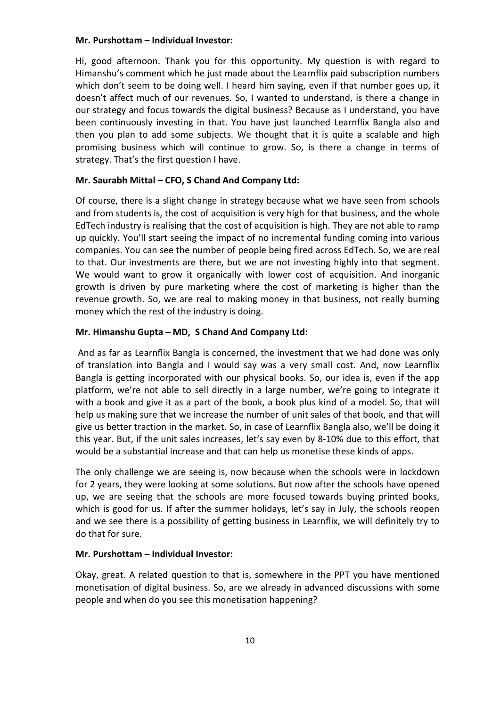#### **Mr. Purshottam – Individual Investor:**

Hi, good afternoon. Thank you for this opportunity. My question is with regard to Himanshu's comment which he just made about the Learnflix paid subscription numbers which don't seem to be doing well. I heard him saying, even if that number goes up, it doesn't affect much of our revenues. So, I wanted to understand, is there a change in our strategy and focus towards the digital business? Because as I understand, you have been continuously investing in that. You have just launched Learnflix Bangla also and then you plan to add some subjects. We thought that it is quite a scalable and high promising business which will continue to grow. So, is there a change in terms of strategy. That's the first question I have.

#### **Mr. Saurabh Mittal – CFO, S Chand And Company Ltd:**

Of course, there is a slight change in strategy because what we have seen from schools and from students is, the cost of acquisition is very high for that business, and the whole EdTech industry is realising that the cost of acquisition is high. They are not able to ramp up quickly. You'll start seeing the impact of no incremental funding coming into various companies. You can see the number of people being fired across EdTech. So, we are real to that. Our investments are there, but we are not investing highly into that segment. We would want to grow it organically with lower cost of acquisition. And inorganic growth is driven by pure marketing where the cost of marketing is higher than the revenue growth. So, we are real to making money in that business, not really burning money which the rest of the industry is doing.

#### **Mr. Himanshu Gupta – MD, S Chand And Company Ltd:**

And as far as Learnflix Bangla is concerned, the investment that we had done was only of translation into Bangla and I would say was a very small cost. And, now Learnflix Bangla is getting incorporated with our physical books. So, our idea is, even if the app platform, we're not able to sell directly in a large number, we're going to integrate it with a book and give it as a part of the book, a book plus kind of a model. So, that will help us making sure that we increase the number of unit sales of that book, and that will give us better traction in the market. So, in case of Learnflix Bangla also, we'll be doing it this year. But, if the unit sales increases, let's say even by 8-10% due to this effort, that would be a substantial increase and that can help us monetise these kinds of apps.

The only challenge we are seeing is, now because when the schools were in lockdown for 2 years, they were looking at some solutions. But now after the schools have opened up, we are seeing that the schools are more focused towards buying printed books, which is good for us. If after the summer holidays, let's say in July, the schools reopen and we see there is a possibility of getting business in Learnflix, we will definitely try to do that for sure.

#### **Mr. Purshottam – Individual Investor:**

Okay, great. A related question to that is, somewhere in the PPT you have mentioned monetisation of digital business. So, are we already in advanced discussions with some people and when do you see this monetisation happening?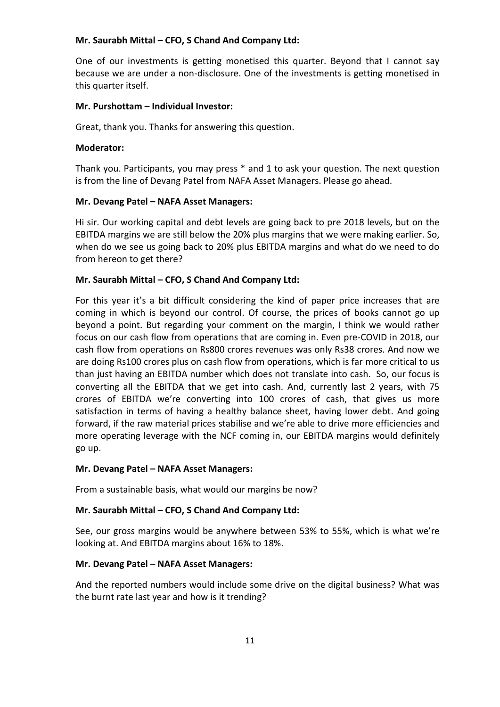One of our investments is getting monetised this quarter. Beyond that I cannot say because we are under a non-disclosure. One of the investments is getting monetised in this quarter itself.

#### **Mr. Purshottam – Individual Investor:**

Great, thank you. Thanks for answering this question.

#### **Moderator:**

Thank you. Participants, you may press \* and 1 to ask your question. The next question is from the line of Devang Patel from NAFA Asset Managers. Please go ahead.

#### **Mr. Devang Patel – NAFA Asset Managers:**

Hi sir. Our working capital and debt levels are going back to pre 2018 levels, but on the EBITDA margins we are still below the 20% plus margins that we were making earlier. So, when do we see us going back to 20% plus EBITDA margins and what do we need to do from hereon to get there?

#### **Mr. Saurabh Mittal – CFO, S Chand And Company Ltd:**

For this year it's a bit difficult considering the kind of paper price increases that are coming in which is beyond our control. Of course, the prices of books cannot go up beyond a point. But regarding your comment on the margin, I think we would rather focus on our cash flow from operations that are coming in. Even pre-COVID in 2018, our cash flow from operations on Rs800 crores revenues was only Rs38 crores. And now we are doing Rs100 crores plus on cash flow from operations, which is far more critical to us than just having an EBITDA number which does not translate into cash. So, our focus is converting all the EBITDA that we get into cash. And, currently last 2 years, with 75 crores of EBITDA we're converting into 100 crores of cash, that gives us more satisfaction in terms of having a healthy balance sheet, having lower debt. And going forward, if the raw material prices stabilise and we're able to drive more efficiencies and more operating leverage with the NCF coming in, our EBITDA margins would definitely go up.

#### **Mr. Devang Patel – NAFA Asset Managers:**

From a sustainable basis, what would our margins be now?

#### **Mr. Saurabh Mittal – CFO, S Chand And Company Ltd:**

See, our gross margins would be anywhere between 53% to 55%, which is what we're looking at. And EBITDA margins about 16% to 18%.

#### **Mr. Devang Patel – NAFA Asset Managers:**

And the reported numbers would include some drive on the digital business? What was the burnt rate last year and how is it trending?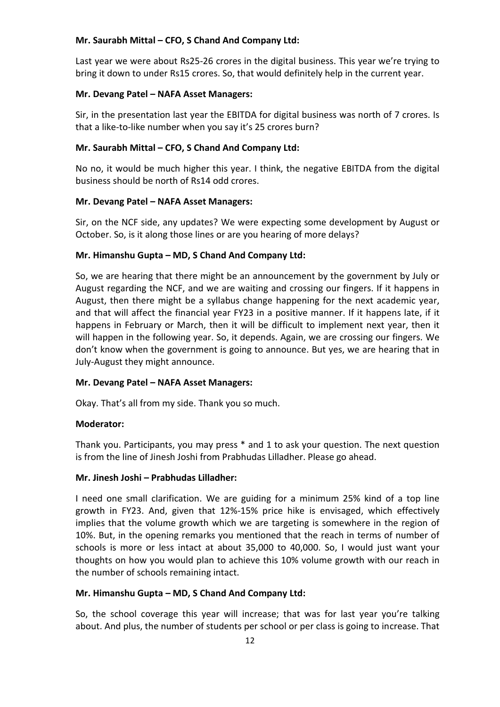Last year we were about Rs25-26 crores in the digital business. This year we're trying to bring it down to under Rs15 crores. So, that would definitely help in the current year.

#### **Mr. Devang Patel – NAFA Asset Managers:**

Sir, in the presentation last year the EBITDA for digital business was north of 7 crores. Is that a like-to-like number when you say it's 25 crores burn?

#### **Mr. Saurabh Mittal – CFO, S Chand And Company Ltd:**

No no, it would be much higher this year. I think, the negative EBITDA from the digital business should be north of Rs14 odd crores.

#### **Mr. Devang Patel – NAFA Asset Managers:**

Sir, on the NCF side, any updates? We were expecting some development by August or October. So, is it along those lines or are you hearing of more delays?

#### **Mr. Himanshu Gupta – MD, S Chand And Company Ltd:**

So, we are hearing that there might be an announcement by the government by July or August regarding the NCF, and we are waiting and crossing our fingers. If it happens in August, then there might be a syllabus change happening for the next academic year, and that will affect the financial year FY23 in a positive manner. If it happens late, if it happens in February or March, then it will be difficult to implement next year, then it will happen in the following year. So, it depends. Again, we are crossing our fingers. We don't know when the government is going to announce. But yes, we are hearing that in July-August they might announce.

#### **Mr. Devang Patel – NAFA Asset Managers:**

Okay. That's all from my side. Thank you so much.

#### **Moderator:**

Thank you. Participants, you may press \* and 1 to ask your question. The next question is from the line of Jinesh Joshi from Prabhudas Lilladher. Please go ahead.

#### **Mr. Jinesh Joshi – Prabhudas Lilladher:**

I need one small clarification. We are guiding for a minimum 25% kind of a top line growth in FY23. And, given that 12%-15% price hike is envisaged, which effectively implies that the volume growth which we are targeting is somewhere in the region of 10%. But, in the opening remarks you mentioned that the reach in terms of number of schools is more or less intact at about 35,000 to 40,000. So, I would just want your thoughts on how you would plan to achieve this 10% volume growth with our reach in the number of schools remaining intact.

#### **Mr. Himanshu Gupta – MD, S Chand And Company Ltd:**

So, the school coverage this year will increase; that was for last year you're talking about. And plus, the number of students per school or per class is going to increase. That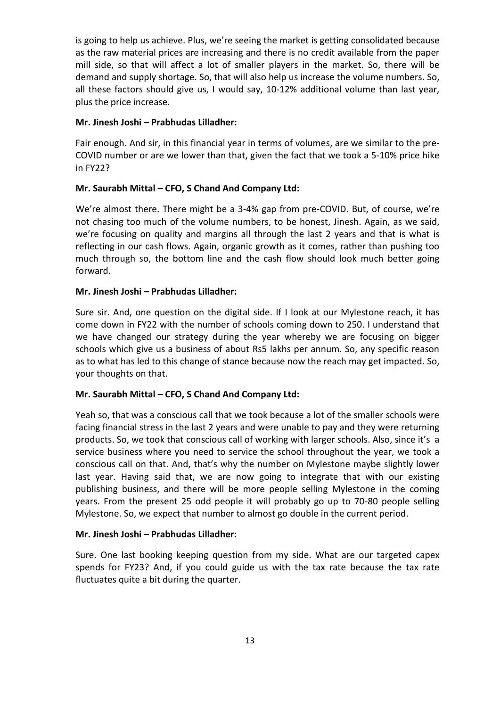is going to help us achieve. Plus, we're seeing the market is getting consolidated because as the raw material prices are increasing and there is no credit available from the paper mill side, so that will affect a lot of smaller players in the market. So, there will be demand and supply shortage. So, that will also help us increase the volume numbers. So, all these factors should give us, I would say, 10-12% additional volume than last year, plus the price increase.

#### **Mr. Jinesh Joshi – Prabhudas Lilladher:**

Fair enough. And sir, in this financial year in terms of volumes, are we similar to the pre-COVID number or are we lower than that, given the fact that we took a 5-10% price hike in FY22?

#### **Mr. Saurabh Mittal – CFO, S Chand And Company Ltd:**

We're almost there. There might be a 3-4% gap from pre-COVID. But, of course, we're not chasing too much of the volume numbers, to be honest, Jinesh. Again, as we said, we're focusing on quality and margins all through the last 2 years and that is what is reflecting in our cash flows. Again, organic growth as it comes, rather than pushing too much through so, the bottom line and the cash flow should look much better going forward.

#### **Mr. Jinesh Joshi – Prabhudas Lilladher:**

Sure sir. And, one question on the digital side. If I look at our Mylestone reach, it has come down in FY22 with the number of schools coming down to 250. I understand that we have changed our strategy during the year whereby we are focusing on bigger schools which give us a business of about Rs5 lakhs per annum. So, any specific reason as to what has led to this change of stance because now the reach may get impacted. So, your thoughts on that.

#### **Mr. Saurabh Mittal – CFO, S Chand And Company Ltd:**

Yeah so, that was a conscious call that we took because a lot of the smaller schools were facing financial stress in the last 2 years and were unable to pay and they were returning products. So, we took that conscious call of working with larger schools. Also, since it's a service business where you need to service the school throughout the year, we took a conscious call on that. And, that's why the number on Mylestone maybe slightly lower last year. Having said that, we are now going to integrate that with our existing publishing business, and there will be more people selling Mylestone in the coming years. From the present 25 odd people it will probably go up to 70-80 people selling Mylestone. So, we expect that number to almost go double in the current period.

#### **Mr. Jinesh Joshi – Prabhudas Lilladher:**

Sure. One last booking keeping question from my side. What are our targeted capex spends for FY23? And, if you could guide us with the tax rate because the tax rate fluctuates quite a bit during the quarter.